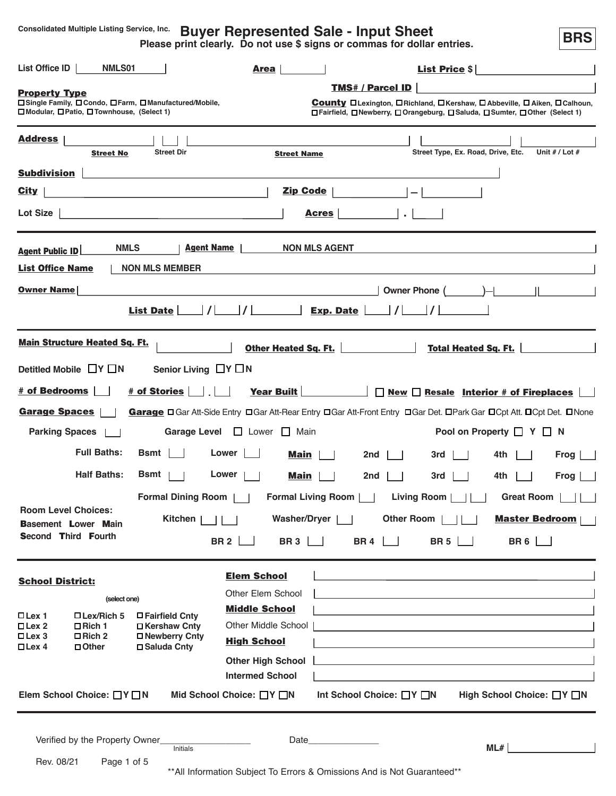**Consolidated Multiple Listing Service, Inc.**

# **Buyer Represented Sale - Input Sheet**

**Please print clearly. Do not use \$ signs or commas for dollar entries.**

**BRS**

| List Office ID<br>NMLS01                                                                                                        | <b>Area</b>                                                                                                                                                                                                                    | <b>List Price \$</b>                                                                                                                                                                                                          |
|---------------------------------------------------------------------------------------------------------------------------------|--------------------------------------------------------------------------------------------------------------------------------------------------------------------------------------------------------------------------------|-------------------------------------------------------------------------------------------------------------------------------------------------------------------------------------------------------------------------------|
| <b>Property Type</b><br>□ Single Family, □ Condo, □ Farm, □ Manufactured/Mobile,<br>□ Modular, □ Patio, □ Townhouse, (Select 1) |                                                                                                                                                                                                                                | <b>TMS# / Parcel ID</b><br><b>County</b> D Lexington, D Richland, D Kershaw, D Abbeville, D Aiken, D Calhoun,<br>□Fairfield, □Newberry, □Orangeburg, □Saluda, □Sumter, □Other (Select 1)                                      |
| <b>Address</b><br><b>Street Dir</b><br><b>Street No</b>                                                                         | <b>Street Name</b>                                                                                                                                                                                                             | Street Type, Ex. Road, Drive, Etc.<br>Unit $# /$ Lot $#$                                                                                                                                                                      |
| <b>Subdivision</b>                                                                                                              |                                                                                                                                                                                                                                |                                                                                                                                                                                                                               |
| <b>City</b>                                                                                                                     | <b>Zip Code</b>                                                                                                                                                                                                                |                                                                                                                                                                                                                               |
| Lot Size $ $                                                                                                                    | <b>Acres</b>                                                                                                                                                                                                                   | $\mathcal{L}^{\mathcal{L}}$                                                                                                                                                                                                   |
| <b>Agent Name</b><br><b>NMLS</b><br><b>Agent Public ID</b>                                                                      | <b>NON MLS AGENT</b>                                                                                                                                                                                                           |                                                                                                                                                                                                                               |
| <b>List Office Name</b><br><b>NON MLS MEMBER</b>                                                                                |                                                                                                                                                                                                                                |                                                                                                                                                                                                                               |
| <b>Owner Name</b>                                                                                                               |                                                                                                                                                                                                                                | $\Box$<br>Owner Phone (                                                                                                                                                                                                       |
| List Date                                                                                                                       |                                                                                                                                                                                                                                | I                                                                                                                                                                                                                             |
| <b>Main Structure Heated Sq. Ft.</b>                                                                                            | Other Heated Sq. Ft.                                                                                                                                                                                                           | <b>Total Heated Sq. Ft.</b>                                                                                                                                                                                                   |
| Detitled Mobile $\Box Y \Box N$<br>Senior Living $\Box Y \Box N$                                                                |                                                                                                                                                                                                                                |                                                                                                                                                                                                                               |
| # of Bedrooms<br># of Stories                                                                                                   | <b>Year Built</b>                                                                                                                                                                                                              | $\Box$ New $\Box$ Resale Interior # of Fireplaces                                                                                                                                                                             |
| <b>Garage Spaces</b>                                                                                                            |                                                                                                                                                                                                                                | Garage □ Gar Att-Side Entry □ Gar Att-Rear Entry □ Gar Att-Front Entry □ Gar Det. □ Park Gar □ Cpt Att. □ Cpt Det. □ None                                                                                                     |
| <b>Parking Spaces</b><br><b>Garage Level</b>                                                                                    | □ Lower □ Main                                                                                                                                                                                                                 | Pool on Property $\Box Y \Box N$                                                                                                                                                                                              |
| <b>Full Baths:</b><br>Bsmt                                                                                                      | Lower<br>Main                                                                                                                                                                                                                  | 2nd<br>3rd<br>4th<br>Frog                                                                                                                                                                                                     |
| <b>Half Baths:</b><br>Bsmt                                                                                                      | Lower<br>Main                                                                                                                                                                                                                  | 2nd<br>3rd<br>4th<br>Frog                                                                                                                                                                                                     |
| <b>Formal Dining Room</b>                                                                                                       | <b>Formal Living Room</b>                                                                                                                                                                                                      | <b>Great Room</b><br><b>Living Room</b>                                                                                                                                                                                       |
| <b>Room Level Choices:</b><br><b>Kitchen</b><br><b>Basement Lower Main</b>                                                      | <b>Washer/Dryer</b>                                                                                                                                                                                                            | Other Room<br><b>Master Bedroom</b>                                                                                                                                                                                           |
| <b>Second Third Fourth</b>                                                                                                      | BR 3 $\Box$<br><b>BR2</b>                                                                                                                                                                                                      | BR 4 $\Box$<br>BR 5 $\Box$<br>BR 6 $\Box$                                                                                                                                                                                     |
| <b>School District:</b>                                                                                                         | <b>Elem School</b>                                                                                                                                                                                                             |                                                                                                                                                                                                                               |
| (select one)                                                                                                                    | Other Elem School                                                                                                                                                                                                              | <u> 1980 - Johann Barbara, martxa amerikan personal (h. 1980).</u>                                                                                                                                                            |
| $\Box$ Lex 1<br>□ Lex/Rich 5<br>□ Fairfield Cnty                                                                                | <b>Middle School</b>                                                                                                                                                                                                           |                                                                                                                                                                                                                               |
| $\square$ Lex 2<br>$\Box$ Rich 1<br>□ Kershaw Cnty<br>$\square$ Lex 3<br>$\Box$ Rich 2<br>□ Newberry Cnty                       | Other Middle School                                                                                                                                                                                                            | the control of the control of the control of the control of the control of the control of the control of the control of the control of the control of the control of the control of the control of the control of the control |
| □ Saluda Cnty<br>$\Box$ Lex 4<br>□ Other                                                                                        | <b>High School</b>                                                                                                                                                                                                             | the control of the control of the control of the control of the control of the control of the control of the control of the control of the control of the control of the control of the control of the control of the control |
|                                                                                                                                 | <b>Other High School</b>                                                                                                                                                                                                       |                                                                                                                                                                                                                               |
| Elem School Choice: □Y□N                                                                                                        | <b>Intermed School</b><br>Mid School Choice: □Y □N                                                                                                                                                                             | Int School Choice: □Y □N<br>High School Choice: □Y □N                                                                                                                                                                         |
|                                                                                                                                 |                                                                                                                                                                                                                                |                                                                                                                                                                                                                               |
| Verified by the Property Owner_                                                                                                 | Date the contract of the contract of the contract of the contract of the contract of the contract of the contract of the contract of the contract of the contract of the contract of the contract of the contract of the contr |                                                                                                                                                                                                                               |
| <b>Initials</b><br>Rev. 08/21<br>Page 1 of 5                                                                                    |                                                                                                                                                                                                                                | <b>Contract Contract Property</b><br>ML#                                                                                                                                                                                      |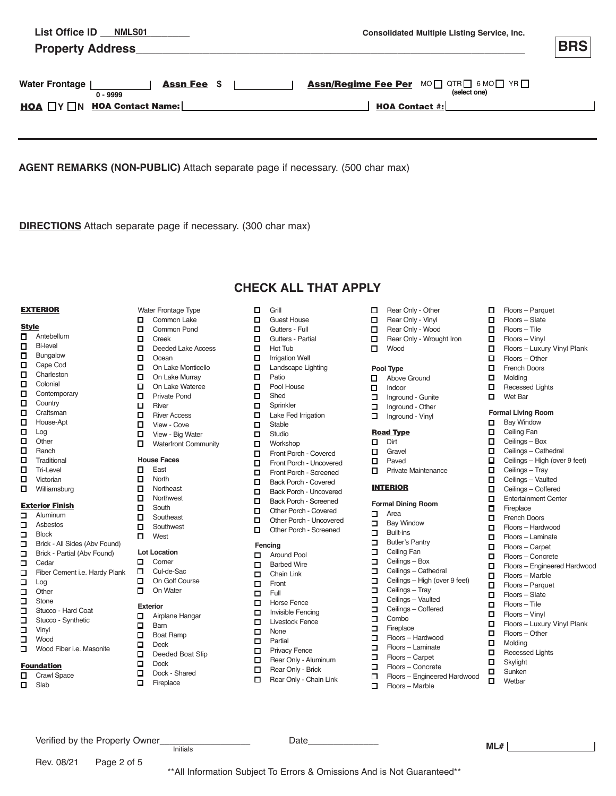| <b>NMLS01</b><br>List Office ID<br><b>Property Address</b> | <b>Consolidated Multiple Listing Service, Inc.</b>    | <b>BRS</b> |
|------------------------------------------------------------|-------------------------------------------------------|------------|
| <b>Assn Fee \$</b><br><b>Water Frontage</b><br>$0 - 9999$  | Assn/Regime Fee Per MO OTRO 6 MO TYRO<br>(select one) |            |
| $HOA \square Y \square N HOA Context Name: \square$        | <b>HOA Contact <math>\#</math>:</b>                   |            |
|                                                            |                                                       |            |

**AGENT REMARKS (NON-PUBLIC)** Attach separate page if necessary. (500 char max)

**DIRECTIONS** Attach separate page if necessary. (300 char max)

Water Frontage Type **D** Common Lake Common Pond

□ Deeded Lake Access<br>□ Ocean Ocean **D** On Lake Monticello On Lake Murray On Lake Wateree **D**<sub>...</sub> Private Pond  $\Box$  River **D**.... River Access View - Cove **D**.... View - Big Water Waterfront Community

□ Creek<br>□ Deede

**House Faces D** East **n** North **D** Northeast **Northwest O** South **D** Southeast **n** Southwest **D** West **Lot Location D** Corner D Cul-de-Sac On Golf Course **n** On Water **Exterior**

Verified by the Property Owner<br>  $\frac{1 \text{pitals}}{1 \text{pitals}}$  Date

**D** Airplane Hangar

Deeded Boat Slip

□ Barn<br>□ Boat Boat Ramp Deck  $\Box$  Dock Dock - Shared<br>D Fireplace Fireplace

 $\Box$ 

# **CHECK ALL THAT APPLY**

#### EXTERIOR

| <b>Style</b> |                 |
|--------------|-----------------|
| O            | Antebellum      |
| п            | <b>Bi-level</b> |

- **D** Bungalow
- □ Cape Cod<br>□ Charleston Charleston
- **D** Colonial
- **D** Contemporary
- **D** Country
- **D**...Craftsman
- □ House-Apt
- $\square$  ... Log
- $\Box$  Other
- $\square$  ... Ranch
- **n** Traditional
- **D** Tri-Level
- □ Victorian<br>□ Williamsk
- Williamsburg

#### Exterior Finish

- **D** Aluminum Asbestos **D** Block **Brick - All Sides (Abv Found)**
- **□** Brick Partial (Abv Found)<br>□ Cedar

Rev. 08/21 Page 2 of 5

- Cedar
- □ Fiber Cement i.e. Hardy Plank<br>□ Log
- □ Log<br>□ Othe
- Other<br>
D Stone Stone
- **D** Stucco Hard Coat
- □ Stucco Synthetic<br>□ Vinyl
- Vinyl
- Wood **D** Wood Fiber i.e. Masonite

# **Foundation**

- Crawl Space<br> **O** Slab
- Slab

| × |
|---|
|   |

- **D** Guest House
- Gutters Full
- Gutters Partial<br> **C** Hot Tub Hot Tub
- **I** Irrigation Well
- **Landscape Lighting**
- **D** Patio
- **D** Pool House
- □ Shed
- $\Box$
- Sprinkler Lake Fed Irrigation
- **D** Stable
- **D** Studio
- **D** Workshop
- Front Porch Covered
- Front Porch Uncovered  $\Box$  Front Porch - Screened
	-
- □ Back Porch Covered<br>□ Back Porch Uncovered
- Back Porch Uncovered Back Porch Screened
- Other Porch Covered
- Other Porch Uncovered
- Other Porch Screened

# **Fencing**

- **D** Around Pool
- Barbed Wire Chain Link
- **D** Front
- 
- $\Box$  Full<br> $\Box$  Hors □ Horse Fence<br>□ Invisible Fenc
- Invisible Fencing
- **Livestock Fence**
- **D** None  $\Box$  Partial
- **D** Privacy Fence
- Rear Only Aluminum
- Rear Only Brick
- Rear Only Chain Link

Initials **ML#**

\*\*All Information Subject To Errors & Omissions And is Not Guaranteed\*\*

- Rear Only Other Rear Only - Vinyl
	-
- Rear Only Wood
- Rear Only Wrought Iron

**n** French Doors<br>**n** Molding Molding □ Recessed Lights<br>□ Wet Bar Wet Bar **Formal Living Room Bay Window D** Ceiling Fan **D** Ceilings – Box □ Ceilings – Cathedral<br>□ Ceilings – High (over Ceilings – High (over 9 feet)

**Floors** – Parquet Floors – Slate  Floors – Tile Floors – Vinyl

Floors – Other

Floors – Luxury Vinyl Plank

□ Ceilings – Tray<br>□ Ceilings – Vault □ Ceilings – Vaulted<br>□ Ceilings – Coffered  $\Box$  Entertainment Center

Ceilings – Coffered

Floors – Hardwood Floors – Laminate Floors – Carpet Floors – Concrete

Floors – Marble Floors – Parquet Floors – Slate Floors – Tile Floors – Vinyl

Floors – Other

Floors – Engineered Hardwood

Floors – Luxury Vinyl Plank

**D** Fireplace **D** French Doors

 $\Box$  $\Box$  $\Box$  $\Box$ 

□ Molding<br>□ Recesse □ Recessed Lights<br>□ Skylight Skylight □ Sunken<br>□ Wetbar Wethar

Wood

#### **Pool Type**

- Above Ground
- $\Pi$  Indoor
- **Inground Gunite**
- Inground Other Inground - Vinyl

## Road Type

- **Dirt**
- **D** Gravel
- **D** Paved
- **n** Private Maintenance

#### **INTERIOR**

#### **Formal Dining Room**

- D Area
- **D** Bay Window
- **D** Built-ins
- **Butler's Pantry**
- **D** Ceiling Fan
- **D** Ceilings Box
- **D** Ceilings Cathedral
- □ Ceilings High (over 9 feet)
- **D** Ceilings Tray
- **D** Ceilings Vaulted
- D Combo **D** Ceilings – Coffered
- **D** Fireplace

 $\Box$  $\Box$  $\Box$ 

- Floors – Hardwood
- Floors – Laminate

Floors – Marble

Floors – Carpet Floors – Concrete

Floors – Engineered Hardwood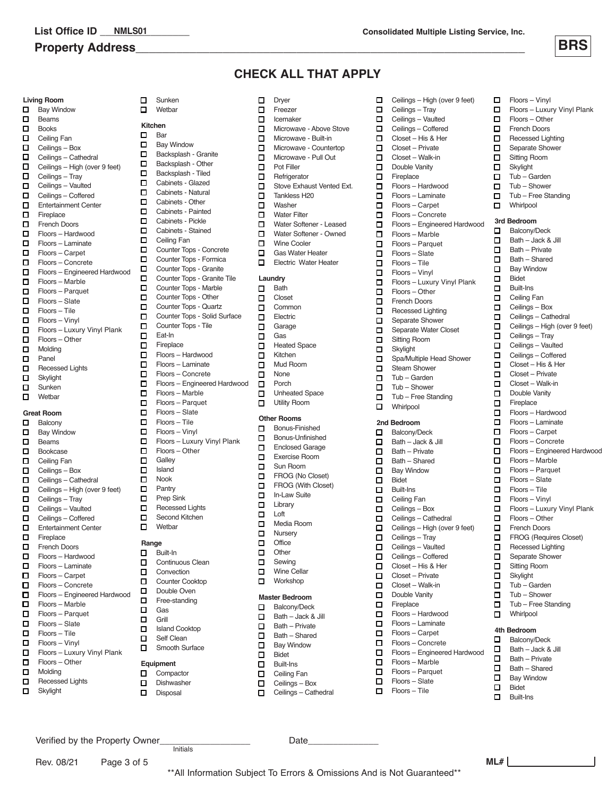# **Property Address**



Floors – Vinyl

  $\Box$  $\Box$ 

Floors – Other

Floors – Luxury Vinyl Plank

# **CHECK ALL THAT APPLY**

|        | <b>Living Room</b>              | □ | Sur                   |
|--------|---------------------------------|---|-----------------------|
| о      | <b>Bay Window</b>               | □ | We                    |
| П      | Beams                           |   |                       |
| П      | <b>Books</b>                    | □ | <b>Kitchen</b><br>Bar |
| О      | Ceiling Fan                     | о |                       |
| О      | Ceilings - Box                  | □ | Bay                   |
| о      | Ceilings - Cathedral            | □ | Ba                    |
| 口      | Ceilings - High (over 9 feet)   | □ | Ba<br>Ba              |
| $\Box$ | Ceilings - Tray                 | о |                       |
| О      | Ceilings - Vaulted              | □ | Cal                   |
| П      | Ceilings - Coffered             | О | Cal<br>Cal            |
| П      | <b>Entertainment Center</b>     | □ | Cal                   |
| П      | Fireplace                       | □ | Cal                   |
| о      | <b>French Doors</b>             | □ | Cal                   |
| о      | Floors - Hardwood               | □ | Cei                   |
| П      | Floors - Laminate               | □ | Co                    |
| □      | Floors - Carpet                 | о | Co                    |
| о      | Floors - Concrete               | □ | Co                    |
| п      | Floors - Engineered Hardwood    | □ | Co                    |
| п      | Floors - Marble                 | □ | Co                    |
| о      | Floors - Parquet                | □ | Co                    |
| О      | Floors - Slate<br>Floors - Tile | □ | Co                    |
| П      |                                 | □ | Co                    |
| П      | Floors - Vinyl                  | о | Co                    |
| о      | Floors - Luxury Vinyl Plank     | □ | Eat                   |
| о      | Floors - Other                  | □ | Fire                  |
| П      | Molding                         | □ | Flo                   |
| п      | Panel                           | о | Flo                   |
| о      | Recessed Lights                 | □ | Flo                   |
| о<br>о | Skylight                        | о | Flo                   |
| о      | Sunken<br>Wetbar                | □ | Flo                   |
|        |                                 | ◻ | Flo                   |
|        | <b>Great Room</b>               | □ | Flo                   |
| □      | Balcony                         | □ | Flo                   |
| о      | <b>Bay Window</b>               | □ | Flo                   |
| п      | <b>Beams</b>                    | ◻ | Flo                   |
| О      | Bookcase                        | □ | Flo                   |
| о      | Ceiling Fan                     | □ | Ga                    |
| о      | Ceilings - Box                  | □ | Isla                  |
| о      | Ceilings - Cathedral            | □ | No                    |
| о      | Ceilings - High (over 9 feet)   | О | Par                   |
| □      | Ceilings - Tray                 | □ | Pre                   |
| о      | Ceilings - Vaulted              | □ | Re                    |

- Entertainment Center  $\Box$  Fireplace  $\Pi$  **French Doors**  $\Box$  Ceilings – Coffered Floors – Hardwood Floors – Laminate Floors – Carpet Floors – Concrete Floors – Engineered Hardwood Floors – Marble Floors – Parquet Floors – Slate Floors – Tile
- Floors Vinyl Floors – Luxury Vinyl Plank
- Floors Other
- **D** Molding

  $\Box$ 

 $\Box$  $\Box$  $\Box$  $\Box$ 

 $\Box$ 

- $\Box$  Recessed Lights
- **D** Skylight

 Bar Bay Window **Backsplash - Granite Backsplash - Other** Backsplash - Tiled Cabinets - Glazed Cabinets - Natural Cabinets - Other Cabinets - Painted Cabinets - Pickle Cabinets - Stained Ceiling Fan **Counter Tops - Concrete** Counter Tops - Formica Counter Tops - Granite Counter Tops - Granite Tile Counter Tops - Other Counter Tops - Quartz **Counter Tops - Solid Surface** Counter Tops - Tile Eat-In Fireplace **Galley**  Island Nook Pantry Prep Sink **Recessed Lights n** Second Kitchen **D** Wetbar Counter Tops - Marble Floors – Hardwood Floors – Laminate Floors – Concrete Floors – Engineered Hardwood Floors – Marble Floors – Parquet Floors – Slate Floors – Tile Floors – Vinyl Floors – Luxury Vinyl Plank Floors – Other

 Sunken Wethar

# **Range**

- Built-In **D** Continuous Clean
- **D** Convection
- **n** Counter Cooktop
- Double Oven
- **D** Free-standing
- **D** Gas  $\Box$  Grill
- **ISland Cooktop**
- **D** Self Clean
- **D** Smooth Surface

### **Equipment**

- **D** Compactor
- Dishwasher
	-
- Dryer **n** Freezer  $\Box$  Icemaker Microwave - Above Stove Microwave - Built-in **O** Microwave - Countertop Microwave - Pull Out **D** Pot Filler Refrigerator Stove Exhaust Vented Ext. □ Tankless H20<br>□ Washer Washer **D** Water Filter Water Softener - Leased Water Softener - Owned **D** Wine Cooler **Laundry** Bath **D** Closet **D** Common **D** Electric **D** Garage **n** Gas **D** Gas Water Heater Electric Water Heater
- **n** Heated Space
- Kitchen
- **n** Mud Room
- **D** None **0** Porch
- **D** Unheated Space
- **D** Utility Room

# **Other Rooms**

- **D** Bonus-Finished
- Bonus-Unfinished Enclosed Garage
- **D** Exercise Room
- □ Sun Room<br>□ FROG (No
- **FROG** (No Closet)
- $\Box$  FROG (With Closet) □ In-Law Suite<br>□ Library
- Library
- **□** Loft<br>□ Med Media Room
- **D** Nursery
- 
- Office<br>
D Other
- □ Other<br>□ Sewir Sewing
- **D** Wine Cellar **D** Workshop

# **Master Bedroom**

- Balcony/Deck
- $\Box$  Bath Jack & Jill  $B$ ath – Private
- 
- □ Bath Shared<br>□ Bay Window **Bay Window**
- □ Bidet<br>□ Built-l
- □ Built-Ins<br>□ Ceiling F
- Ceiling Fan **D** Ceilings – Box
- Disposal **Disposal Ceilings** Cathedral
- □ Ceilings High (over 9 feet) **D** Ceilings – Tray  $\Box$  Ceilings – Vaulted □ Ceilings – Coffered  $\Box$  Closet – His & Her  $\Box$  Closet – Private  $\Box$  Closet – Walk-in Double Vanity Fireplace Floors – Hardwood  Floors – Laminate  $\Box$ Floors – Carpet О Floors – Concrete Ο Floors – Engineered Hardwood  $\Box$ Floors – Marble Floors – Parquet Floors – Slate  $\Box$  Floors – Tile  Floors – Vinyl  Floors – Luxury Vinyl Plank Floors – Other □ French Doors<br>□ Recessed Lig **Recessed Lighting** Separate Shower<br>
Separate Water C Separate Water Closet **D** Sitting Room □ Skylight<br>□ Spa/Mul Spa/Multiple Head Shower **D** Steam Shower  $\Box$  Tub – Garden  $\Box$  Tub – Shower  $\Box$  Tub – Free Standing **D** Whirlpool **2nd Bedroom** Balcony/Deck  $\Box$  Bath – Jack & Jill  $\Box$  Bath – Private  $\Box$  Bath – Shared **D** Bay Window Bidet □ Built-Ins **D** Ceiling Fan **D** Ceilings – Box **D** Ceilings – Cathedral □ Ceilings – High (over 9 feet) □ Ceilings – Tray<br>□ Ceilings – Vaul Ceilings – Vaulted  $\Box$  Ceilings – Coffered  $\Box$  Closet – His & Her  $\Box$  Closet – Private  $\Box$  Closet – Walk-in Double Vanity Fireplace  Floors – Hardwood  Floors – Laminate о Floors – Carpet

**1** French Doors<br>**1** Recessed Light **Recessed Lighting** Separate Shower □ Sitting Room **D** Skylight  $\Box$  Tub – Garden  $\Pi$  Tub – Shower **Tub – Free Standing D** Whirlpool **3rd Bedroom** Balcony/Deck **□** Bath – Jack & Jill<br>■ Bath – Private Bath – Private  $\Box$  Bath – Shared **D** Bay Window Bidet **D** Built-Ins **D** Ceiling Fan **D** Ceilings – Box  $\Box$  Ceilings – Cathedral □ Ceilings – High (over 9 feet) **D** Ceilings – Tray **D** Ceilings – Vaulted **D** Ceilings – Coffered  $\Box$  Closet – His & Her  $\Box$  Closet – Private  $\Box$  Closet – Walk-in Double Vanity  $\Box$ Fireplace  Floors – Hardwood  Floors – Laminate  $\Box$ Floors – Carpet  $\Box$ Floors – Concrete п Floors – Engineered Hardwood Floors – Marble п  Floors – Parquet Floors – Slate  Floors – Tile  Floors – Vinyl  Floors – Luxury Vinyl Plank  $\Box$ Floors – Other  $\Box$  French Doors **1** FROG (Requires Closet)<br>**1** Recessed Lighting **Recessed Lighting**  $\Box$  Separate Shower □ Sitting Room **D** Skylight  $\Box$  Tub – Garden  $\Box$  Tub – Shower  $\Box$  Tub – Free Standing **D** Whirlpool **4th Bedroom** Balcony/Deck  $\Box$  Bath – Jack & Jill<br> $\Box$  Bath – Private  $\Box$  Bath – Private Bath – Shared

- **Bay Window**
- Bidet
- **D** Built-Ins

Verified by the Property Owner\_\_\_\_\_\_\_\_\_\_\_\_\_\_\_\_\_\_ Date\_\_\_\_\_\_\_\_\_\_\_\_\_\_

Initials

Rev. 08/21 Page 3 of 5



Floors – Slate  $\Box$  Floors – Tile

 $\Box$  $\Box$  $\Box$  Floors – Concrete

Floors – Marble Floors – Parquet

Floors – Engineered Hardwood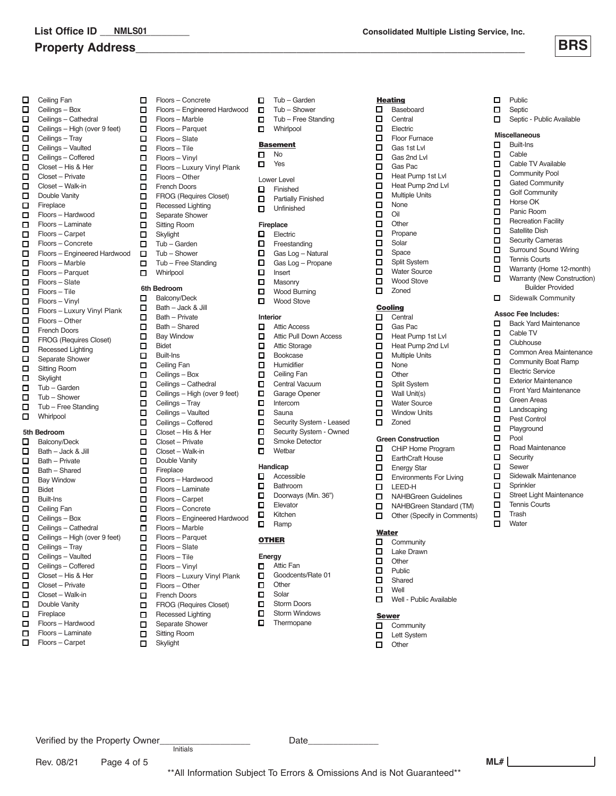# **Property Address\_\_\_\_\_\_\_\_\_\_\_\_\_\_\_\_\_\_\_\_\_\_\_\_\_\_\_\_\_\_\_\_\_\_\_\_\_\_\_\_\_\_\_\_\_\_\_\_\_\_\_\_\_\_\_\_\_\_ BRS**

- □ Ceiling Fan<br>□ Ceilings E Ceilings – Box  $\Box$  Ceilings – Cathedral □ Ceilings – High (over 9 feet)<br>□ Ceilings – Tray Ceilings – Tray **□** Ceilings – Vaulted<br>□ Ceilings – Coffered  $\Box$  Closet – His & Her  $\Box$  Closet – Private  $\Box$  Closet – Walk-in Double Vanity Fireplace  $\Box$  Floors – Hardwood  Floors – Laminate  $\Box$ Floors – Carpet Floors – Concrete  $\Box$ Floors – Engineered Hardwood  $\Box$  $\Box$ Floors – Marble  Floors – Parquet Floors – Slate  Floors – Tile  Floors – Vinyl  Floors – Luxury Vinyl Plank  Floors – Other  $\Box$  French Doors  $\Box$  FROG (Requires Closet) □ Recessed Lighting<br>□ Separate Shower Separate Shower **D** Sitting Room **D** Skylight  $\Box$  Tub – Garden  $\Box$  Tub – Shower  $\Box$  Tub – Free Standing **Nhirlpool 5th Bedroom** Balcony/Deck  $\Box$  Bath – Jack & Jill  $\Box$  Bath – Private<br> $\Box$  Bath – Shared  $\Box$  Bath – Shared<br> $\Box$  Bay Window **Bay Window D** Bidet Built-Ins □ Ceiling Fan<br>□ Ceilings – B Ceilings – Box **D** Ceilings – Cathedral
- □ Ceilings High (over 9 feet)<br>□ Ceilings Tray Ceilings – Tray **D** Ceilings – Vaulted □ Closet – His & Her<br>□ Closet – Private Closet – Private **D** Ceilings – Coffered

Rev. 08/21 Page 4 of 5

- $\Box$  Closet Walk-in
- D Double Vanity<br>D Fireplace Fireplace
- Floors – Hardwood Floors – Laminate
- $\Box$ Floors – Carpet
- $\Box$ Floors – Engineered Hardwood о Floors – Marble  Floors – Parquet Floors – Slate  Floors – Tile  Floors – Vinyl YesCeilings – Coffered Floors – Luxury Vinyl Plank  Floors – Other  $\Pi$  **French Doors**  $\Box$  FROG (Requires Closet)  $\Box$  Recessed Lighting Separate Shower **D** Sitting Room  $\Box$  Skylight  $\Box$  Tub – Garden  $\Box$  Tub – Shower  $\Pi$  Tub – Free Standing **D** Whirlpool **6th Bedroom**<br> **n** Balconv/ Balcony/Deck  $\Box$  Bath – Jack & Jill  $\Box$  Bath – Private  $\Box$  Bath – Shared **D** Bay Window □ Bidet **D** Built-Ins **D** Ceiling Fan **D** Ceilings – Box  $\Box$  Ceilings – Cathedral  $\Box$  Ceilings – High (over 9 feet)  $\Box$  Ceilings – Tray  $\Box$  Ceilings – Vaulted  $\Box$  Ceilings – Coffered  $\Box$  Closet – His & Her  $\Box$  Closet – Private  $\Box$  Closet – Walk-in Double Vanity **D** Fireplace Floors – Hardwood  Floors – Laminate  $\Box$ Floors – Carpet  $\Box$ Floors – Concrete п Floors – Engineered Hardwood о Floors – Marble Floors – Parquet  Floors – Slate  $\Box$ Floors – Tile  $\Box$ Floors – Vinyl  Floors – Luxury Vinyl Plank  Floors – Other  $\Box$  French Doors  $\Box$  FROG (Requires Closet)

Floors – Concrete

 $\Box$ 

Separate Shower **D** Sitting Room

**n** Recessed Lighting

Verified by the Property Owner\_\_\_\_\_\_\_\_\_\_\_\_\_\_\_\_\_\_ Date\_\_\_\_\_\_\_\_\_\_\_\_\_\_

Initials

**D** Skylight

- □ Tub Garden<br>□ Tub Shower Tub – Shower  $\Box$  Tub – Free Standing
- **D** Whirlpool

## **Basement**

- $\Box$  No<br> $\Box$  Yes
- Lower Level
- Finished
- **D** Partially Finished **D** Unfinished

- **Fireplace**<br> **D** Elect Electric
- $\Box$  Freestanding<br> $\Box$  Gas Log Na
- Gas Log Natural  $\Box$  Gas Log – Propane
- □ Insert<br>□ Masor
- □ Masonry<br>□ Wood Bu
- Wood Burning
- **D** Wood Stove

## **Interior**

- **Q** Attic Access Attic Pull Down Access
- **D** Attic Storage
- **D** Bookcase
- **D** Humidifier
- **D** Ceiling Fan О Central Vacuum
- $\Box$ Garage Opener
- **Intercom**
- **D** Sauna
- Security System Leased
- Security System Owned Smoke Detector
- **D** Wetbar

### **Handicap**

- □ Accessible<br>□ Bathroom
- Bathroom
- Doorways (Min. 36")<br>D Elevator Elevator
- □ Kitchen<br>□ Ramp

# Ramp

# **OTHER**

- **Energy**
- Attic Fan
- Goodcents/Rate 01
- **Other**
- **D** Solar
	- Storm Doors<br> **O** Storm Windo
	- Storm Windows<br> **O** Thermopane Thermopane

\*\*All Information Subject To Errors & Omissions And is Not Guaranteed\*\*

#### **Heating Baseboard**

- □ Central<br>□ Electric
- Electric **D** Floor Furnace
- 
- $\Box$  Gas 1st Lvl<br> $\Box$  Gas 2nd Lv Gas 2nd Lvl
- □ Gas Pac<br>□ Heat Pun
- $\Box$  Heat Pump 1st Lvl<br> $\Box$  Heat Pump 2nd Lvl Heat Pump 2nd Lvl
- 
- □ Multiple Units<br>□ None
- $\Box$  None<br> $\Box$  Oil  $\begin{bmatrix} 1 & 0 \\ 1 & 0 \end{bmatrix}$
- **Other**
- **D** Propane
- **O** Solar
- D Space
- Split System<br> **O** Water Source Water Source
- **n** Wood Stove
- □ Zoned

#### Cooling

- $\Box$  Central
- Gas Pac
- $\Box$  Heat Pump 1st Lvl<br> $\Box$  Heat Pump 2nd Lv
- Heat Pump 2nd Lvl
- **D** Multiple Units
- □ None<br>□ Other
- **Other**
- **D** Split System  $\Box$  Wall Unit(s)
- **Nater Source**
- **D** Window Units
- □ Zoned

#### **Green Construction**

- CHiP Home Program
- EarthCraft House
- **Energy Star**
- **Environments For Living**
- **LEED-H**<br>**LEED-H** NAHBGreen Guidelines
- 
- NAHBGreen Standard (TM)<br>■ Other (Specify in Comments Other (Specify in Comments)

# **Water**

- □ Community<br>□ Lake Drawn
- Lake Drawn
- **D** Other
- **D** Public □ Shared
- **D** Well
- Well Public Available

# Sewer

- $\Box$  Community<br> $\Box$  Lett System Lett System
- **n** Other

 $\Box$  Public<br> $\Box$  Septic Septic Septic - Public Available

**Miscellaneous** □ Built-Ins<br>□ Cable Cable Cable TV Available **Community Pool O** Gated Community **Caracter Community D** Horse OK **D** Panic Room  $\Box$  Recreation Facility □ Satellite Dish □ Security Cameras<br>□ Surround Sound V Surround Sound Wiring

**D** Tennis Courts

**Assoc Fee Includes:** Back Yard Maintenance

 $\Box$  Sidewalk Community

 Cable TV Clubhouse

 $\Box$  Green Areas<br> $\Box$  Landscaping □ Landscaping<br>□ Pest Control Pest Control **D** Playground **D** Pool

**n** Sprinkler

**ML#**

**D** Road Maintenance **n** Security **D** Sewer

 $\Box$  Sidewalk Maintenance

Street Light Maintenance  $\Box$  Tennis Courts  $\Box$  Trash **n** Water

**D** Warranty (Home 12-month) **Narranty (New Construction)** Builder Provided

**Common Area Maintenance Community Boat Ramp** Electric Service Exterior Maintenance **Front Yard Maintenance**